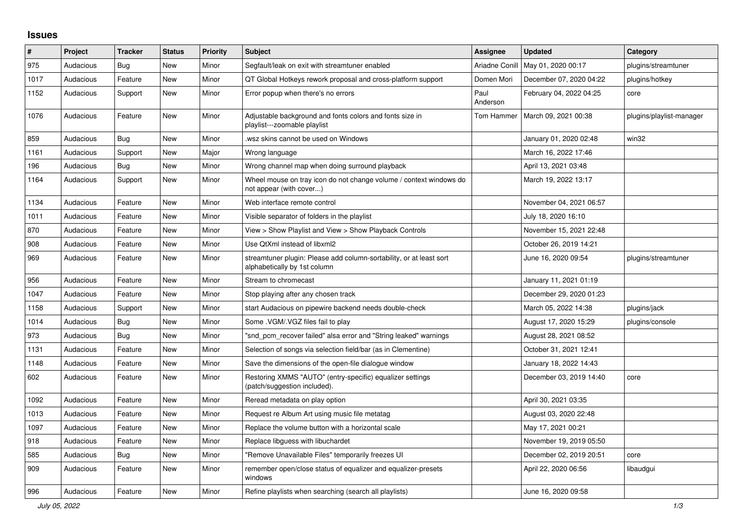## **Issues**

| $\#$ | Project   | <b>Tracker</b> | <b>Status</b> | <b>Priority</b> | <b>Subject</b>                                                                                      | <b>Assignee</b>  | <b>Updated</b>          | Category                 |
|------|-----------|----------------|---------------|-----------------|-----------------------------------------------------------------------------------------------------|------------------|-------------------------|--------------------------|
| 975  | Audacious | <b>Bug</b>     | <b>New</b>    | Minor           | Segfault/leak on exit with streamtuner enabled                                                      | Ariadne Conill   | May 01, 2020 00:17      | plugins/streamtuner      |
| 1017 | Audacious | Feature        | <b>New</b>    | Minor           | QT Global Hotkeys rework proposal and cross-platform support                                        | Domen Mori       | December 07, 2020 04:22 | plugins/hotkey           |
| 1152 | Audacious | Support        | New           | Minor           | Error popup when there's no errors                                                                  | Paul<br>Anderson | February 04, 2022 04:25 | core                     |
| 1076 | Audacious | Feature        | New           | Minor           | Adjustable background and fonts colors and fonts size in<br>playlist---zoomable playlist            | Tom Hammer       | March 09, 2021 00:38    | plugins/playlist-manager |
| 859  | Audacious | <b>Bug</b>     | <b>New</b>    | Minor           | .wsz skins cannot be used on Windows                                                                |                  | January 01, 2020 02:48  | win32                    |
| 1161 | Audacious | Support        | <b>New</b>    | Major           | Wrong language                                                                                      |                  | March 16, 2022 17:46    |                          |
| 196  | Audacious | Bug            | <b>New</b>    | Minor           | Wrong channel map when doing surround playback                                                      |                  | April 13, 2021 03:48    |                          |
| 1164 | Audacious | Support        | New           | Minor           | Wheel mouse on tray icon do not change volume / context windows do<br>not appear (with cover)       |                  | March 19, 2022 13:17    |                          |
| 1134 | Audacious | Feature        | <b>New</b>    | Minor           | Web interface remote control                                                                        |                  | November 04, 2021 06:57 |                          |
| 1011 | Audacious | Feature        | <b>New</b>    | Minor           | Visible separator of folders in the playlist                                                        |                  | July 18, 2020 16:10     |                          |
| 870  | Audacious | Feature        | <b>New</b>    | Minor           | View > Show Playlist and View > Show Playback Controls                                              |                  | November 15, 2021 22:48 |                          |
| 908  | Audacious | Feature        | <b>New</b>    | Minor           | Use QtXml instead of libxml2                                                                        |                  | October 26, 2019 14:21  |                          |
| 969  | Audacious | Feature        | New           | Minor           | streamtuner plugin: Please add column-sortability, or at least sort<br>alphabetically by 1st column |                  | June 16, 2020 09:54     | plugins/streamtuner      |
| 956  | Audacious | Feature        | <b>New</b>    | Minor           | Stream to chromecast                                                                                |                  | January 11, 2021 01:19  |                          |
| 1047 | Audacious | Feature        | <b>New</b>    | Minor           | Stop playing after any chosen track                                                                 |                  | December 29, 2020 01:23 |                          |
| 1158 | Audacious | Support        | <b>New</b>    | Minor           | start Audacious on pipewire backend needs double-check                                              |                  | March 05, 2022 14:38    | plugins/jack             |
| 1014 | Audacious | <b>Bug</b>     | <b>New</b>    | Minor           | Some .VGM/.VGZ files fail to play                                                                   |                  | August 17, 2020 15:29   | plugins/console          |
| 973  | Audacious | Bug            | <b>New</b>    | Minor           | "snd pcm recover failed" alsa error and "String leaked" warnings                                    |                  | August 28, 2021 08:52   |                          |
| 1131 | Audacious | Feature        | <b>New</b>    | Minor           | Selection of songs via selection field/bar (as in Clementine)                                       |                  | October 31, 2021 12:41  |                          |
| 1148 | Audacious | Feature        | <b>New</b>    | Minor           | Save the dimensions of the open-file dialogue window                                                |                  | January 18, 2022 14:43  |                          |
| 602  | Audacious | Feature        | <b>New</b>    | Minor           | Restoring XMMS "AUTO" (entry-specific) equalizer settings<br>(patch/suggestion included).           |                  | December 03, 2019 14:40 | core                     |
| 1092 | Audacious | Feature        | <b>New</b>    | Minor           | Reread metadata on play option                                                                      |                  | April 30, 2021 03:35    |                          |
| 1013 | Audacious | Feature        | New           | Minor           | Request re Album Art using music file metatag                                                       |                  | August 03, 2020 22:48   |                          |
| 1097 | Audacious | Feature        | New           | Minor           | Replace the volume button with a horizontal scale                                                   |                  | May 17, 2021 00:21      |                          |
| 918  | Audacious | Feature        | <b>New</b>    | Minor           | Replace libguess with libuchardet                                                                   |                  | November 19, 2019 05:50 |                          |
| 585  | Audacious | <b>Bug</b>     | <b>New</b>    | Minor           | "Remove Unavailable Files" temporarily freezes UI                                                   |                  | December 02, 2019 20:51 | core                     |
| 909  | Audacious | Feature        | New           | Minor           | remember open/close status of equalizer and equalizer-presets<br>windows                            |                  | April 22, 2020 06:56    | libaudgui                |
| 996  | Audacious | Feature        | New           | Minor           | Refine playlists when searching (search all playlists)                                              |                  | June 16, 2020 09:58     |                          |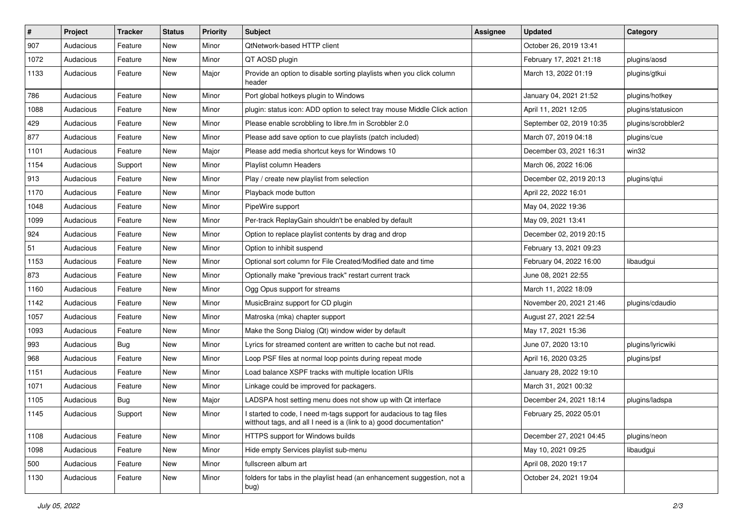| $\vert$ # | Project   | <b>Tracker</b> | <b>Status</b> | <b>Priority</b> | <b>Subject</b>                                                                                                                            | <b>Assignee</b> | <b>Updated</b>           | Category           |
|-----------|-----------|----------------|---------------|-----------------|-------------------------------------------------------------------------------------------------------------------------------------------|-----------------|--------------------------|--------------------|
| 907       | Audacious | Feature        | New           | Minor           | QtNetwork-based HTTP client                                                                                                               |                 | October 26, 2019 13:41   |                    |
| 1072      | Audacious | Feature        | <b>New</b>    | Minor           | QT AOSD plugin                                                                                                                            |                 | February 17, 2021 21:18  | plugins/aosd       |
| 1133      | Audacious | Feature        | New           | Major           | Provide an option to disable sorting playlists when you click column<br>header                                                            |                 | March 13, 2022 01:19     | plugins/gtkui      |
| 786       | Audacious | Feature        | <b>New</b>    | Minor           | Port global hotkeys plugin to Windows                                                                                                     |                 | January 04, 2021 21:52   | plugins/hotkey     |
| 1088      | Audacious | Feature        | New           | Minor           | plugin: status icon: ADD option to select tray mouse Middle Click action                                                                  |                 | April 11, 2021 12:05     | plugins/statusicon |
| 429       | Audacious | Feature        | <b>New</b>    | Minor           | Please enable scrobbling to libre.fm in Scrobbler 2.0                                                                                     |                 | September 02, 2019 10:35 | plugins/scrobbler2 |
| 877       | Audacious | Feature        | New           | Minor           | Please add save option to cue playlists (patch included)                                                                                  |                 | March 07, 2019 04:18     | plugins/cue        |
| 1101      | Audacious | Feature        | New           | Major           | Please add media shortcut keys for Windows 10                                                                                             |                 | December 03, 2021 16:31  | win32              |
| 1154      | Audacious | Support        | <b>New</b>    | Minor           | Playlist column Headers                                                                                                                   |                 | March 06, 2022 16:06     |                    |
| 913       | Audacious | Feature        | New           | Minor           | Play / create new playlist from selection                                                                                                 |                 | December 02, 2019 20:13  | plugins/qtui       |
| 1170      | Audacious | Feature        | New           | Minor           | Playback mode button                                                                                                                      |                 | April 22, 2022 16:01     |                    |
| 1048      | Audacious | Feature        | New           | Minor           | PipeWire support                                                                                                                          |                 | May 04, 2022 19:36       |                    |
| 1099      | Audacious | Feature        | New           | Minor           | Per-track ReplayGain shouldn't be enabled by default                                                                                      |                 | May 09, 2021 13:41       |                    |
| 924       | Audacious | Feature        | New           | Minor           | Option to replace playlist contents by drag and drop                                                                                      |                 | December 02, 2019 20:15  |                    |
| 51        | Audacious | Feature        | New           | Minor           | Option to inhibit suspend                                                                                                                 |                 | February 13, 2021 09:23  |                    |
| 1153      | Audacious | Feature        | New           | Minor           | Optional sort column for File Created/Modified date and time                                                                              |                 | February 04, 2022 16:00  | libaudgui          |
| 873       | Audacious | Feature        | New           | Minor           | Optionally make "previous track" restart current track                                                                                    |                 | June 08, 2021 22:55      |                    |
| 1160      | Audacious | Feature        | New           | Minor           | Ogg Opus support for streams                                                                                                              |                 | March 11, 2022 18:09     |                    |
| 1142      | Audacious | Feature        | <b>New</b>    | Minor           | MusicBrainz support for CD plugin                                                                                                         |                 | November 20, 2021 21:46  | plugins/cdaudio    |
| 1057      | Audacious | Feature        | New           | Minor           | Matroska (mka) chapter support                                                                                                            |                 | August 27, 2021 22:54    |                    |
| 1093      | Audacious | Feature        | New           | Minor           | Make the Song Dialog (Qt) window wider by default                                                                                         |                 | May 17, 2021 15:36       |                    |
| 993       | Audacious | <b>Bug</b>     | <b>New</b>    | Minor           | Lyrics for streamed content are written to cache but not read.                                                                            |                 | June 07, 2020 13:10      | plugins/lyricwiki  |
| 968       | Audacious | Feature        | New           | Minor           | Loop PSF files at normal loop points during repeat mode                                                                                   |                 | April 16, 2020 03:25     | plugins/psf        |
| 1151      | Audacious | Feature        | New           | Minor           | Load balance XSPF tracks with multiple location URIs                                                                                      |                 | January 28, 2022 19:10   |                    |
| 1071      | Audacious | Feature        | New           | Minor           | Linkage could be improved for packagers.                                                                                                  |                 | March 31, 2021 00:32     |                    |
| 1105      | Audacious | <b>Bug</b>     | <b>New</b>    | Major           | LADSPA host setting menu does not show up with Qt interface                                                                               |                 | December 24, 2021 18:14  | plugins/ladspa     |
| 1145      | Audacious | Support        | New           | Minor           | I started to code, I need m-tags support for audacious to tag files<br>witthout tags, and all I need is a (link to a) good documentation* |                 | February 25, 2022 05:01  |                    |
| 1108      | Audacious | Feature        | New           | Minor           | HTTPS support for Windows builds                                                                                                          |                 | December 27, 2021 04:45  | plugins/neon       |
| 1098      | Audacious | Feature        | New           | Minor           | Hide empty Services playlist sub-menu                                                                                                     |                 | May 10, 2021 09:25       | libaudgui          |
| 500       | Audacious | Feature        | New           | Minor           | fullscreen album art                                                                                                                      |                 | April 08, 2020 19:17     |                    |
| 1130      | Audacious | Feature        | New           | Minor           | folders for tabs in the playlist head (an enhancement suggestion, not a<br>bug)                                                           |                 | October 24, 2021 19:04   |                    |